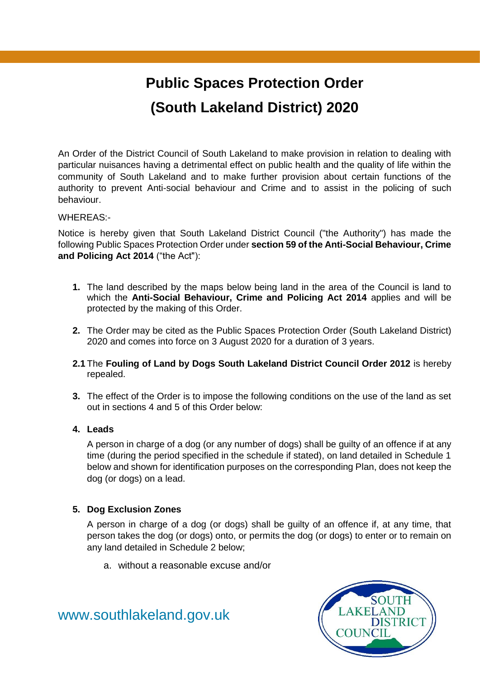# **Public Spaces Protection Order (South Lakeland District) 2020**

An Order of the District Council of South Lakeland to make provision in relation to dealing with particular nuisances having a detrimental effect on public health and the quality of life within the community of South Lakeland and to make further provision about certain functions of the authority to prevent Anti-social behaviour and Crime and to assist in the policing of such behaviour.

#### WHEREAS:-

Notice is hereby given that South Lakeland District Council ("the Authority") has made the following Public Spaces Protection Order under **section 59 of the Anti-Social Behaviour, Crime and Policing Act 2014** ("the Act"):

- **1.** The land described by the maps below being land in the area of the Council is land to which the **Anti-Social Behaviour, Crime and Policing Act 2014** applies and will be protected by the making of this Order.
- **2.** The Order may be cited as the Public Spaces Protection Order (South Lakeland District) 2020 and comes into force on 3 August 2020 for a duration of 3 years.
- **2.1** The **Fouling of Land by Dogs South Lakeland District Council Order 2012** is hereby repealed.
- **3.** The effect of the Order is to impose the following conditions on the use of the land as set out in sections 4 and 5 of this Order below:

#### **4. Leads**

A person in charge of a dog (or any number of dogs) shall be guilty of an offence if at any time (during the period specified in the schedule if stated), on land detailed in Schedule 1 below and shown for identification purposes on the corresponding Plan, does not keep the dog (or dogs) on a lead.

### **5. Dog Exclusion Zones**

A person in charge of a dog (or dogs) shall be guilty of an offence if, at any time, that person takes the dog (or dogs) onto, or permits the dog (or dogs) to enter or to remain on any land detailed in Schedule 2 below;

a. without a reasonable excuse and/or

[www.southlakeland.gov.uk](http://www.southlakeland.gov.uk/)

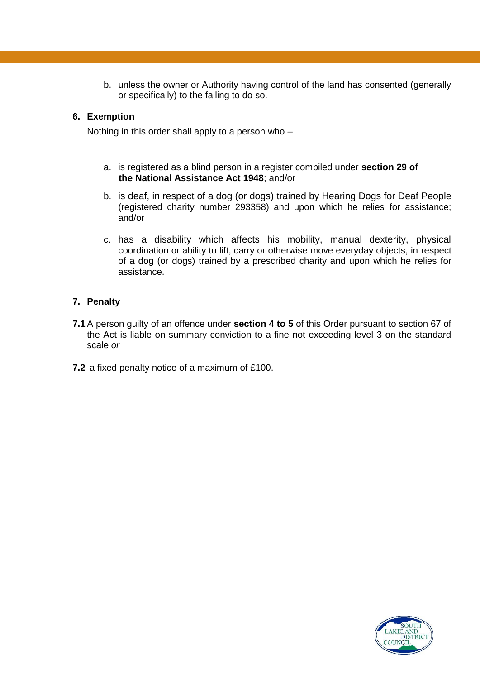b. unless the owner or Authority having control of the land has consented (generally or specifically) to the failing to do so.

#### **6. Exemption**

Nothing in this order shall apply to a person who –

- a. is registered as a blind person in a register compiled under **section 29 of the National Assistance Act 1948**; and/or
- b. is deaf, in respect of a dog (or dogs) trained by Hearing Dogs for Deaf People (registered charity number 293358) and upon which he relies for assistance; and/or
- c. has a disability which affects his mobility, manual dexterity, physical coordination or ability to lift, carry or otherwise move everyday objects, in respect of a dog (or dogs) trained by a prescribed charity and upon which he relies for assistance.

### **7. Penalty**

- **7.1** A person guilty of an offence under **section 4 to 5** of this Order pursuant to section 67 of the Act is liable on summary conviction to a fine not exceeding level 3 on the standard scale *or*
- **7.2** a fixed penalty notice of a maximum of £100.